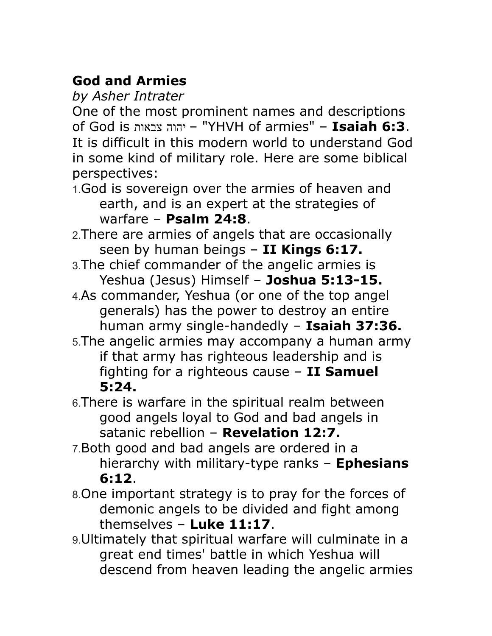## **God and Armies**

*by Asher Intrater*

One of the most prominent names and descriptions of God is צבאות יהוה" – YHVH of armies" – **Isaiah 6:3**. It is difficult in this modern world to understand God in some kind of military role. Here are some biblical perspectives:

- 1.God is sovereign over the armies of heaven and earth, and is an expert at the strategies of warfare – **Psalm 24:8**.
- 2.There are armies of angels that are occasionally seen by human beings – **II Kings 6:17.**
- 3.The chief commander of the angelic armies is Yeshua (Jesus) Himself – **Joshua 5:13-15.**
- 4.As commander, Yeshua (or one of the top angel generals) has the power to destroy an entire human army single-handedly – **Isaiah 37:36.**
- 5.The angelic armies may accompany a human army if that army has righteous leadership and is fighting for a righteous cause – **II Samuel 5:24.**
- 6.There is warfare in the spiritual realm between good angels loyal to God and bad angels in satanic rebellion – **Revelation 12:7.**
- 7.Both good and bad angels are ordered in a hierarchy with military-type ranks – **Ephesians 6:12**.
- 8.One important strategy is to pray for the forces of demonic angels to be divided and fight among themselves – **Luke 11:17**.
- 9.Ultimately that spiritual warfare will culminate in a great end times' battle in which Yeshua will descend from heaven leading the angelic armies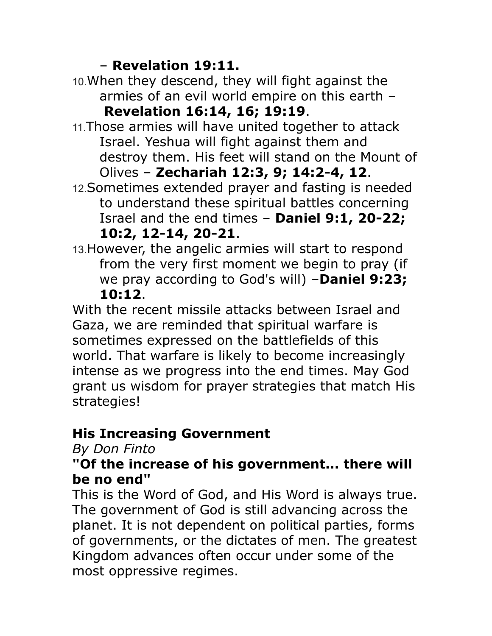### – **Revelation 19:11.**

- 10.When they descend, they will fight against the armies of an evil world empire on this earth – **Revelation 16:14, 16; 19:19**.
- 11.Those armies will have united together to attack Israel. Yeshua will fight against them and destroy them. His feet will stand on the Mount of Olives – **Zechariah 12:3, 9; 14:2-4, 12**.
- 12.Sometimes extended prayer and fasting is needed to understand these spiritual battles concerning Israel and the end times – **Daniel 9:1, 20-22; 10:2, 12-14, 20-21**.
- 13.However, the angelic armies will start to respond from the very first moment we begin to pray (if we pray according to God's will) –**Daniel 9:23; 10:12**.

With the recent missile attacks between Israel and Gaza, we are reminded that spiritual warfare is sometimes expressed on the battlefields of this world. That warfare is likely to become increasingly intense as we progress into the end times. May God grant us wisdom for prayer strategies that match His strategies!

# **His Increasing Government**

### *By Don Finto*

#### **"Of the increase of his government... there will be no end"**

This is the Word of God, and His Word is always true. The government of God is still advancing across the planet. It is not dependent on political parties, forms of governments, or the dictates of men. The greatest Kingdom advances often occur under some of the most oppressive regimes.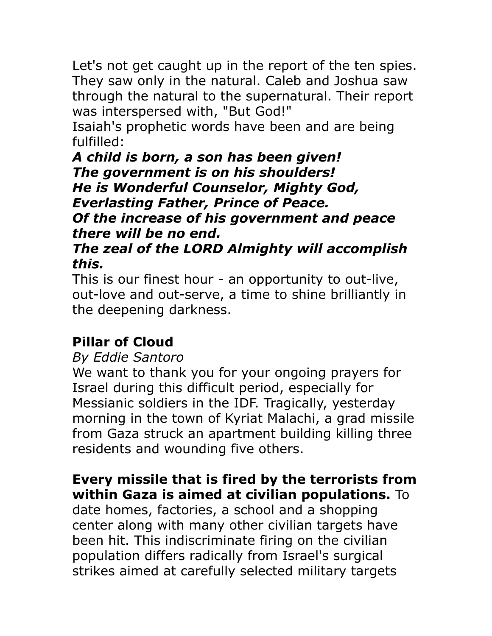Let's not get caught up in the report of the ten spies. They saw only in the natural. Caleb and Joshua saw through the natural to the supernatural. Their report was interspersed with, "But God!"

Isaiah's prophetic words have been and are being fulfilled:

*A child is born, a son has been given! The government is on his shoulders! He is Wonderful Counselor, Mighty God, Everlasting Father, Prince of Peace. Of the increase of his government and peace there will be no end.*

### *The zeal of the LORD Almighty will accomplish this.*

This is our finest hour - an opportunity to out-live, out-love and out-serve, a time to shine brilliantly in the deepening darkness.

# **Pillar of Cloud**

### *By Eddie Santoro*

We want to thank you for your ongoing prayers for Israel during this difficult period, especially for Messianic soldiers in the IDF. Tragically, yesterday morning in the town of Kyriat Malachi, a grad missile from Gaza struck an apartment building killing three residents and wounding five others.

## **Every missile that is fired by the terrorists from within Gaza is aimed at civilian populations.** To

date homes, factories, a school and a shopping center along with many other civilian targets have been hit. This indiscriminate firing on the civilian population differs radically from Israel's surgical strikes aimed at carefully selected military targets